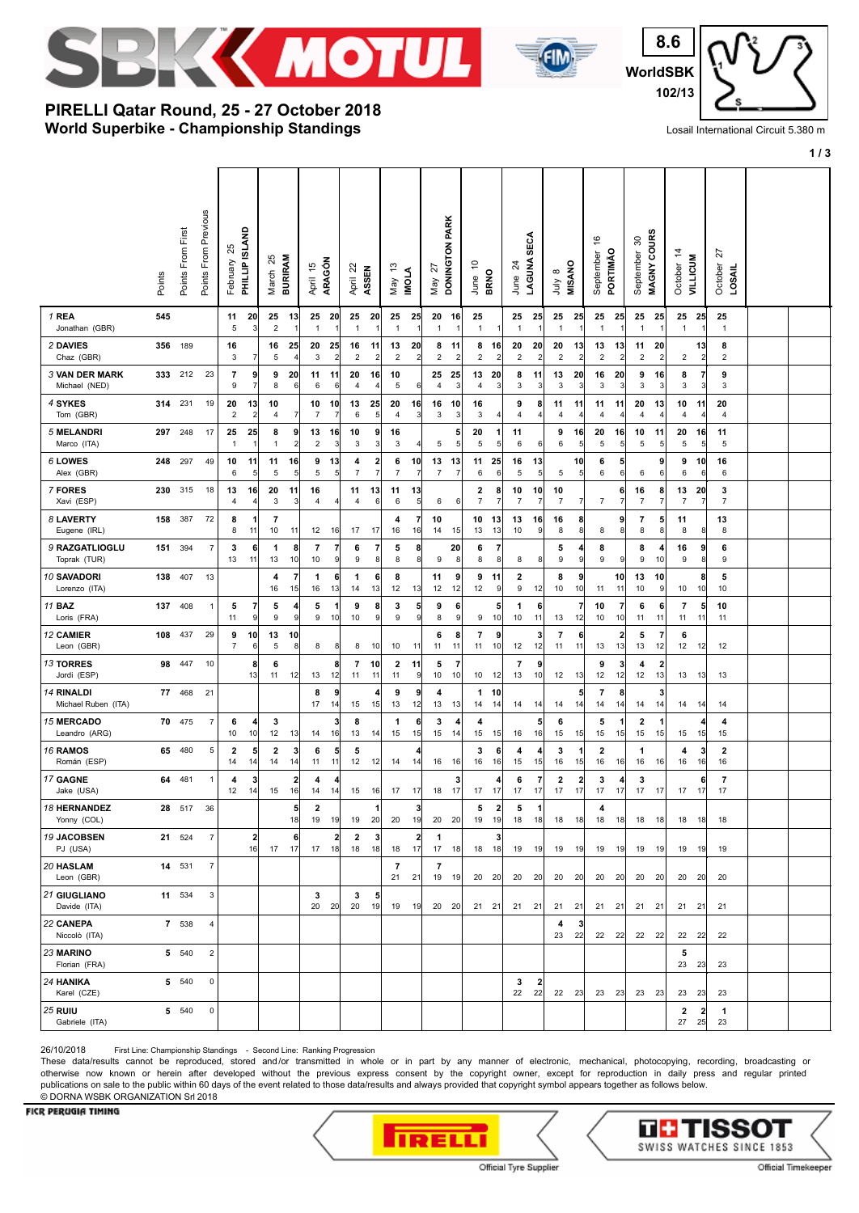



**WorldSBK 8.6 102/13**

## **World Superbike - Championship Standings PIRELLI Qatar Round, 25 - 27 October 2018**

Losail International Circuit 5.380 m

**1 / 3**

|                                        | Points | Points From First | Points From Previous | ని<br>February                | PHILLIP ISLAND       | 25<br>March                   | <b>BURIRAM</b>               | 45<br>April          | ARAGÓN                        | ಜ<br>April                    | ASSEN                          | జ<br>Nay                      | <b>INOLA</b>         | 22<br>Nay             | DONINGTON PARK       | $\tilde{c}$<br>June | <b>BRNO</b>                   | $^{24}$<br>June      | <b>SECA</b><br>LAGUNA | $\infty$<br>ਤੇ<br>ਤੋ | MISANO                | $\frac{6}{5}$<br>September    | PORTIMÃO                           | వి<br>September               | MAGNY COURS                   | $\dot{z}$<br>October   | <b>VILLICUM</b>       | ನ<br>October<br>LOSAIL |  |
|----------------------------------------|--------|-------------------|----------------------|-------------------------------|----------------------|-------------------------------|------------------------------|----------------------|-------------------------------|-------------------------------|--------------------------------|-------------------------------|----------------------|-----------------------|----------------------|---------------------|-------------------------------|----------------------|-----------------------|----------------------|-----------------------|-------------------------------|------------------------------------|-------------------------------|-------------------------------|------------------------|-----------------------|------------------------|--|
| 1 REA<br>Jonathan (GBR)                | 545    |                   |                      | 11<br>5                       | 20<br>3              | 25<br>$\mathbf 2$             | 13<br>$\overline{1}$         | 25<br>$\mathbf{1}$   | 20<br>$\overline{1}$          | 25<br>$\mathbf{1}$            | 20                             | 25<br>$\overline{1}$          | 25                   | 20<br>$\overline{1}$  | 16<br>$\mathbf{1}$   | 25<br>$\mathbf{1}$  | -1                            | 25<br>$\overline{1}$ | 25<br>-1              | 25<br>$\mathbf{1}$   | 25<br>-1              | 25<br>$\overline{1}$          | 25<br>$\overline{1}$               | 25<br>$\mathbf{1}$            | 25                            | $\mathbf{1}$           | 25 25                 | 25<br>$\mathbf{1}$     |  |
| 2 DAVIES<br>Chaz (GBR)                 | 356    | 189               |                      | 16<br>3                       | 7                    | 16<br>5                       | 25<br>4                      | 20<br>3              | 25<br>$\overline{\mathbf{c}}$ | 16<br>$\overline{\mathbf{c}}$ | 11<br>2                        | 13<br>$\sqrt{2}$              | 20<br>$\overline{2}$ | 8<br>$\boldsymbol{2}$ | 11<br>2              | 8<br>$\sqrt{2}$     | 16<br>$\overline{\mathbf{c}}$ | 20<br>$\overline{c}$ | 20<br>2               | 20<br>$\overline{c}$ | 13 <br>$\overline{2}$ | 13<br>$\overline{c}$          | 13<br>$\overline{2}$               | 11<br>$\overline{\mathbf{c}}$ | 20<br>2                       | $\sqrt{2}$             | 13 <br>$\overline{2}$ | 8<br>$\overline{2}$    |  |
| <b>3 VAN DER MARK</b><br>Michael (NED) |        | 333 212           | 23                   | $\overline{7}$<br>9           | 9<br>7               | 9<br>8                        | 20<br>6                      | 11<br>6              | 11<br>6                       | 20<br>$\overline{4}$          | 16<br>4                        | 10<br>5                       | 6                    | 25<br>$\overline{4}$  | 25<br>3              | 13<br>4             | 20<br>3                       | 8<br>3               | 11<br>3               | 13<br>3              | 20<br>3               | 16<br>3                       | 20<br>$\mathbf{3}$                 | 9<br>3                        | 16<br>3                       | 8<br>3                 | 7<br>3                | 9<br>3                 |  |
| 4 SYKES<br>Tom (GBR)                   | 314    | 231               | 19                   | 20<br>$\overline{\mathbf{c}}$ | 13<br>$\overline{2}$ | 10<br>$\overline{4}$          | 7                            | 10<br>$\overline{7}$ | 10<br>7                       | 13<br>6                       | 25<br>5                        | 20<br>4                       | 16<br>3              | 16<br>3               | 10<br>3              | 16<br>3             | $\vert$                       | 9<br>4               | 8<br>4                | 11<br>4              | 11<br>4               | 11<br>$\overline{4}$          | 11<br>$\overline{4}$               | 20<br>4                       | 13<br>4                       | 10<br>4                | 11                    | 20<br>$\overline{4}$   |  |
| 5 MELANDRI<br>Marco (ITA)              | 297    | 248               | 17                   | 25<br>1                       | 25<br>1              | 8<br>$\mathbf{1}$             | 9<br>$\overline{\mathbf{c}}$ | 13<br>$\overline{2}$ | 16<br>3                       | 10<br>3                       | 9<br>3                         | 16<br>3                       |                      | 5                     | 5<br>5 <sup>5</sup>  | 20<br>5             | 1<br>5 <sup>5</sup>           | 11<br>6              | 6                     | 9<br>6               | 16<br>5 <sup>5</sup>  | 20<br>5                       | 16<br>$\overline{5}$               | 10<br>5                       | 11<br>5                       | 20<br>5                | 16<br>5               | 11<br>5                |  |
| 6 LOWES<br>Alex (GBR)                  | 248    | 297               | 49                   | 10<br>6                       | 11<br>5              | 11<br>5                       | 16<br>5                      | 9<br>5               | 13<br>5                       | 4<br>$\overline{7}$           | $\mathbf{2}$<br>$\overline{7}$ | 6<br>$\overline{7}$           | 10                   | 13<br>$\overline{7}$  | 13<br>$\overline{7}$ | 11<br>6             | 25<br>6                       | 16<br>5              | 13<br>5               | 5                    | 10<br>5 <sub>5</sub>  | 6<br>6                        | $5\overline{2}$<br>$6\phantom{.0}$ | 6                             | 9<br>6                        | 9<br>6                 | 10<br>6               | 16<br>6                |  |
| 7 FORES<br>Xavi (ESP)                  | 230    | 315               | 18                   | 13<br>4                       | 16<br>4              | 20<br>3                       | 11<br>3                      | 16<br>$\overline{4}$ | $\overline{4}$                | 11<br>$\overline{4}$          | 13<br>6                        | 11<br>6                       | 13<br>$\overline{5}$ | 6                     | $6 \mid$             | 2<br>$\overline{7}$ | 8<br>7                        | 10<br>$\overline{7}$ | 10<br>7               | 10<br>7              | $\frac{7}{2}$         | $\overline{7}$                | 6<br>$\overline{7}$                | 16<br>$\overline{7}$          | 8<br>7                        | 13<br>$\boldsymbol{7}$ | 20<br>7               | 3<br>$\overline{7}$    |  |
| 8 LAVERTY<br>Eugene (IRL)              | 158    | 387               | 72                   | 8<br>8                        | -1<br>11             | 7<br>10                       | 11                           | 12                   | 16                            | 17                            | 17                             | 4<br>16                       | 7<br>16              | 10<br>14              | 15                   | 10<br>13            | 13<br>13                      | 13<br>10             | 16<br>9               | 16<br>8              | 8<br>8                | 8                             | 9<br>8                             | 7<br>8                        | 5<br>8 <sup>1</sup>           | 11<br>8                | 8                     | 13<br>8                |  |
| 9 RAZGATLIOGLU<br>Toprak (TUR)         | 151    | 394               | $\overline{7}$       | 3<br>13                       | 61<br>11             | 1<br>13                       | 8<br>10                      | 7<br>10              | $\overline{7}$<br>9           | 6<br>9                        | 7<br>8                         | 5<br>8                        | 8<br>8               | 9                     | 20<br>8              | 6<br>8              | 7<br>8                        | 8                    | 8                     | 5<br>9               | 4<br> 9               | 8<br>9                        | 9                                  | 8<br>9                        | 10                            | 16<br>9                | 9<br>8                | 6<br>9                 |  |
| 10 SAVADORI<br>Lorenzo (ITA)           | 138    | 407               | 13                   |                               |                      | 4<br>16                       | $\overline{7}$<br>15         | 1<br>16              | 6<br>13                       | 1<br>14                       | 6<br>13                        | 8<br>12                       | 13                   | 11<br>12              | 9<br>12              | 9<br>12             | 11<br>9                       | 2<br>9               | 12                    | 8<br>10              | 9<br>10               | 11                            | 10<br>11                           | 13<br>10                      | 10<br>9                       | 10                     | 8<br>10               | 5<br>10                |  |
| 11 <b>BAZ</b><br>Loris (FRA)           | 137    | 408               | $\mathbf{1}$         | 5<br>11                       | 7<br>9               | 5<br>9                        | 4<br>9                       | 5<br>9               | $\mathbf{1}$<br>10            | 9<br>10                       | 8<br>9                         | 3<br>9                        | 5<br>9               | 9<br>8                | 6<br>9               | 9                   | 5<br>10                       | 1<br>10              | 6<br>11               | 13                   | $\overline{7}$<br>12  | 10<br>10                      | $\overline{7}$<br>10               | 6<br>11                       | 6<br>11                       | 7<br>11                | 5<br>11               | 10<br>11               |  |
| <b>12 CAMIER</b><br>Leon (GBR)         | 108    | 437               | 29                   | 9<br>$\boldsymbol{7}$         | 10<br>6              | 13<br>$\,$ 5 $\,$             | 10<br>8                      | 8                    | 8                             | 8                             | 10                             | 10                            | 11                   | 6<br>11               | 8<br>11              | 7<br>11             | 9<br>10                       | 12                   | 3<br>12               | 7<br>11              | 6<br>11               | 13                            | $\overline{2}$<br>13               | 5<br>13                       | 7<br>12                       | 6<br>12                | 12                    | 12                     |  |
| <b>13 TORRES</b><br>Jordi (ESP)        | 98     | 447               | 10                   |                               | 8<br>13              | 6<br>11                       | 12                           | 13                   | 8<br>12                       | $\overline{\mathbf{r}}$<br>11 | 10<br>11                       | $\overline{\mathbf{2}}$<br>11 | 11<br>9              | 5<br>$10$             | $\overline{7}$<br>10 | 10                  | 12                            | $\overline{7}$<br>13 | 9<br>10               | 12                   | 13                    | 9<br>12                       | 3<br>12                            | 4<br>12                       | $\overline{\mathbf{2}}$<br>13 | 13                     | 13                    | 13                     |  |
| 14 RINALDI<br>Michael Ruben (ITA)      | 77     | 468               | 21                   |                               |                      |                               |                              | 8<br>17              | 9<br>14                       | 15                            | 4<br>15                        | 9<br>13                       | 9<br>12              | 4<br>13               | 13                   | 1<br>14             | 10<br> 14                     | 14                   | 14                    | 14                   | 5<br>14               | 7<br>14                       | 8<br>14                            | 14                            | 14                            | 14                     | -14                   | 14                     |  |
| <b>15 MERCADO</b><br>Leandro (ARG)     | 70     | 475               | $\overline{7}$       | 6<br>10                       | 4<br>10              | 3<br>12                       | 13                           | 14                   | 3<br>16                       | 8<br>13                       | 14                             | 1<br>15                       | 6<br>15              | 3<br>15               | 4<br>14              | 4<br>15             | 15                            | 16                   | 5<br>16               | 6<br>15              | 15                    | 5<br>15                       | 1<br>15                            | $\overline{2}$<br>15          | -1<br>15                      | 15                     | 15                    | 4<br>15                |  |
| 16 RAMOS<br>Román (ESP)                | 65     | 480               | 5                    | $\overline{\mathbf{2}}$<br>14 | 5<br>14              | $\overline{\mathbf{2}}$<br>14 | 3<br>14                      | 6<br>11              | 5<br>11                       | 5<br>12                       | 12                             | 14                            | 4<br>14              | 16                    | 16                   | 3<br>16             | 6<br>16                       | 4<br>15              | 4<br>15               | 3<br>16              | $\mathbf{1}$<br>15    | $\overline{\mathbf{2}}$<br>16 | 16                                 | 1<br>16                       | 16                            | 4<br>16                | 16                    | $\mathbf{2}$<br>16     |  |
| 17 GAGNE<br>Jake (USA)                 | 64     | 481               | 1                    | 4<br>12                       | 3<br>14              | 15                            | 2<br>16                      | 4<br>14              | 4<br>14                       | 15                            | 16                             | 17                            | 17                   | 18                    | 3<br>17              | 17                  | 4<br>17                       | 6<br>17              | 7<br>17               | 2<br>17              | $\mathbf{2}$<br>17    | 3<br>17                       | 17                                 | 3<br>17                       | 17                            | 17                     | 17                    | 7<br>17                |  |
| <b>18 HERNANDEZ</b><br>Yonny (COL)     | 28     | 517               | 36                   |                               |                      |                               | 5<br>18                      | $\overline{2}$<br>19 | 19                            | 19                            | 20                             | 20                            | 3<br>19              | 20                    | 20                   | 5<br>19             | $\mathbf{2}$<br>19            | 5<br>18              | 18                    | 18                   | 18                    | 4<br>18                       | 18                                 | 18                            | 18                            | 18                     | 18                    | 18                     |  |
| 19 JACOBSEN<br>PJ (USA)                |        | 21 524            | $\overline{7}$       |                               | 2<br>16              | 17                            | 6<br>17                      |                      | $\mathbf{2}$<br>17 18         | $\overline{\mathbf{2}}$<br>18 | 3<br>18                        | 18                            | $\overline{2}$<br>17 | $\mathbf{1}$<br>17    | 18                   | 18                  | 3<br>  18                     |                      | 19 19                 |                      | 19 19                 | 19                            | 19                                 |                               | $19$ $19$                     |                        | 19 19                 | 19                     |  |
| 20 HASLAM<br>Leon (GBR)                |        | 14 531            | $\overline{7}$       |                               |                      |                               |                              |                      |                               |                               |                                | 7<br>21                       | 21                   | 7<br>19               | 19                   |                     | 20 20                         | 20                   | 20                    | 20                   | 20                    | 20                            | 20                                 | 20                            | 20                            | 20                     | 20                    | 20                     |  |
| 21 GIUGLIANO<br>Davide (ITA)           |        | 11 534            | 3                    |                               |                      |                               |                              | 3<br>20              | 20                            | 3<br>20                       | 5<br>19                        | 19                            | 19                   | 20                    | 20                   |                     | $21 \quad 21$                 |                      | 21 21                 | 21                   | 21                    | $21 \quad 21$                 |                                    | 21                            | 21                            | 21                     | 21                    | 21                     |  |
| 22 CANEPA<br>Niccolò (ITA)             |        | 7 538             | 4                    |                               |                      |                               |                              |                      |                               |                               |                                |                               |                      |                       |                      |                     |                               |                      |                       | 4<br>23              | 3<br>22               | 22                            | 22                                 | 22                            | 22                            | 22                     | 22                    | 22                     |  |
| 23 MARINO<br>Florian (FRA)             |        | 5 540             | $\overline{2}$       |                               |                      |                               |                              |                      |                               |                               |                                |                               |                      |                       |                      |                     |                               |                      |                       |                      |                       |                               |                                    |                               |                               | 5<br>23                | 23                    | 23                     |  |
| 24 HANIKA<br>Karel (CZE)               |        | 5 540             | $\mathsf 0$          |                               |                      |                               |                              |                      |                               |                               |                                |                               |                      |                       |                      |                     |                               | 3<br>22              | 2<br>22               |                      | 22 23                 | 23                            | 23                                 | 23                            | 23                            | 23                     | 23                    | 23                     |  |
| <b>25 RUIU</b><br>Gabriele (ITA)       |        | 5 540             | $\mathsf 0$          |                               |                      |                               |                              |                      |                               |                               |                                |                               |                      |                       |                      |                     |                               |                      |                       |                      |                       |                               |                                    |                               |                               | 2<br>27                | $\mathbf{2}$<br>25    | $\mathbf{1}$<br>23     |  |

26/10/2018 First Line: Championship Standings - Second Line: Ranking Progression

These data/results cannot be reproduced, stored and/or transmitted in whole or in part by any manner of electronic, mechanical, photocopying, recording, broadcasting or otherwise now known or herein after developed without the previous express consent by the copyright owner, except for reproduction in daily press and regular printed publications on sale to the public within 60 days of the event related to those data/results and always provided that copyright symbol appears together as follows below. © DORNA WSBK ORGANIZATION Srl 2018

## FICR PERUGIA TIMING



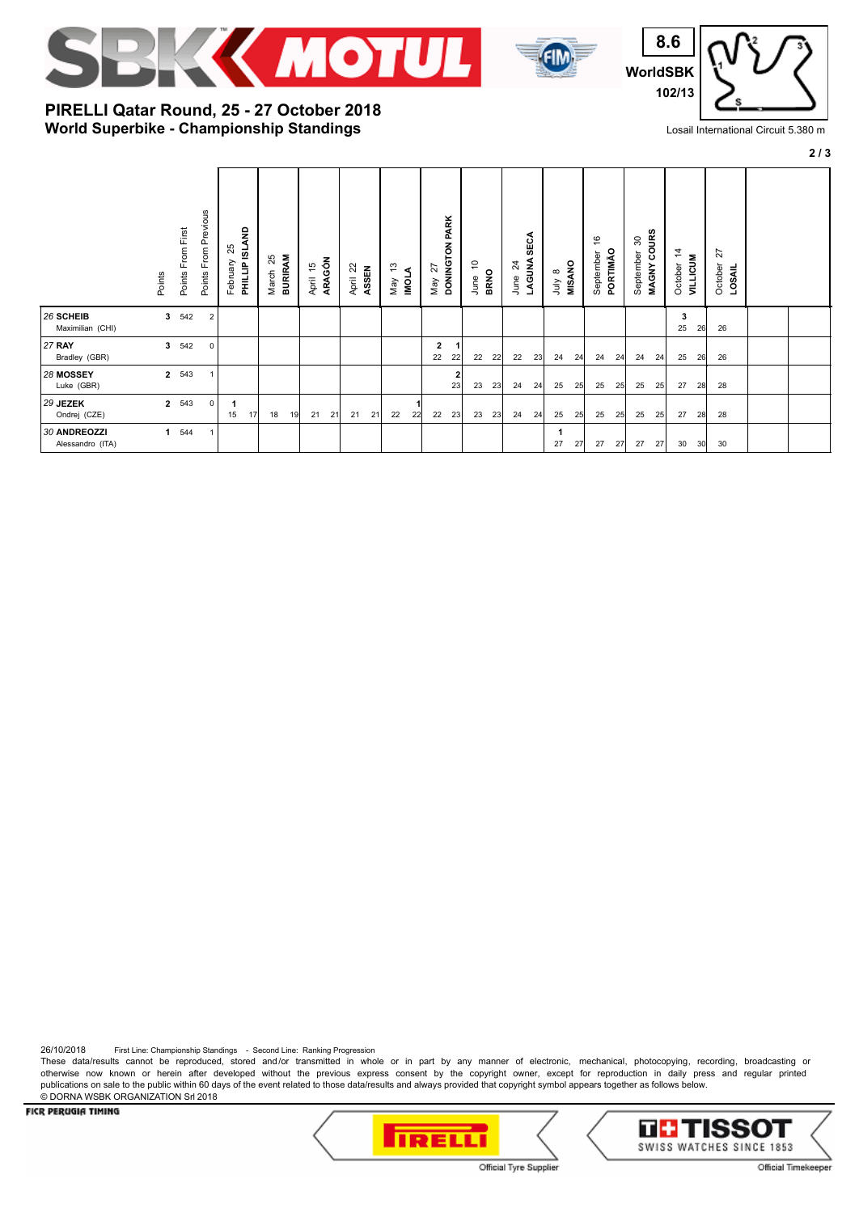



**WorldSBK 8.6 102/13**

## **World Superbike - Championship Standings PIRELLI Qatar Round, 25 - 27 October 2018**

Losail International Circuit 5.380 m

|  | ۰.<br>× |
|--|---------|
|  |         |

|                                  | Points      | Points From First | Points From Previous | AND<br>25<br><b>PHILLIP ISL</b><br>February |    | <b>BURIRAM</b><br>25<br>March | April 15<br>ARAGÓN |    | $\overline{c}$<br>April | ASSEN | చ<br>∢<br><b>IDNI</b><br>Vay | DONINGTON PARK<br>27<br>May |   | ٥,<br><b>BRNO</b><br>June |    | 24<br>June | <b>SECA</b><br>LAGUNA | <b>MISANO</b><br>$\infty$<br>ਤੇ<br>ਤੋ |    | $\frac{6}{5}$<br>PORTIMÃO<br>September |    | MAGNY COURS<br>$\boldsymbol{S}$<br>September |    | $\frac{4}{3}$<br>October | <b>VILLICUM</b> | 27<br>October<br>LOSAIL |  |
|----------------------------------|-------------|-------------------|----------------------|---------------------------------------------|----|-------------------------------|--------------------|----|-------------------------|-------|------------------------------|-----------------------------|---|---------------------------|----|------------|-----------------------|---------------------------------------|----|----------------------------------------|----|----------------------------------------------|----|--------------------------|-----------------|-------------------------|--|
| 26 SCHEIB<br>Maximilian (CHI)    | 3           | 542               | $\overline{2}$       |                                             |    |                               |                    |    |                         |       |                              |                             |   |                           |    |            |                       |                                       |    |                                        |    |                                              |    | 3<br>25                  | 26              | 26                      |  |
| <b>27 RAY</b><br>Bradley (GBR)   |             | 3 542             | $\mathbf 0$          |                                             |    |                               |                    |    |                         |       |                              | $\overline{2}$<br>22<br>22  |   | 22                        | 22 | 22         | 23                    | 24                                    | 24 | 24                                     | 24 | 24                                           | 24 | 25                       | 26              | 26                      |  |
| 28 MOSSEY<br>Luke (GBR)          |             | 2 543             | $\mathbf{1}$         |                                             |    |                               |                    |    |                         |       |                              | 23                          | 2 | 23                        | 23 | 24         | 24                    | 25                                    | 25 | 25                                     | 25 | 25                                           | 25 | 27                       | 28              | 28                      |  |
| 29 JEZEK<br>Ondrej (CZE)         |             | 2 543             | 0                    | 1<br>15                                     | 17 | 18<br>19                      | 21                 | 21 | 21                      | 21    | 22<br>22                     | 22<br>23                    |   | 23                        | 23 | 24         | 24                    | 25                                    | 25 | 25                                     | 25 | 25                                           | 25 | 27                       | 28              | 28                      |  |
| 30 ANDREOZZI<br>Alessandro (ITA) | $\mathbf 1$ | 544               | -1                   |                                             |    |                               |                    |    |                         |       |                              |                             |   |                           |    |            |                       | 27                                    | 27 | 27                                     | 27 | 27                                           | 27 | 30                       | 30 <sup>l</sup> | 30                      |  |

26/10/2018 First Line: Championship Standings - Second Line: Ranking Progression

These data/results cannot be reproduced, stored and/or transmitted in whole or in part by any manner of electronic, mechanical, photocopying, recording, broadcasting or otherwise now known or herein after developed without the previous express consent by the copyright owner, except for reproduction in daily press and regular printed publications on sale to the public within 60 days of the event related to those data/results and always provided that copyright symbol appears together as follows below. © DORNA WSBK ORGANIZATION Srl 2018

FICR PERUGIA TIMING





Official Tyre Supplier

Official Timekeeper